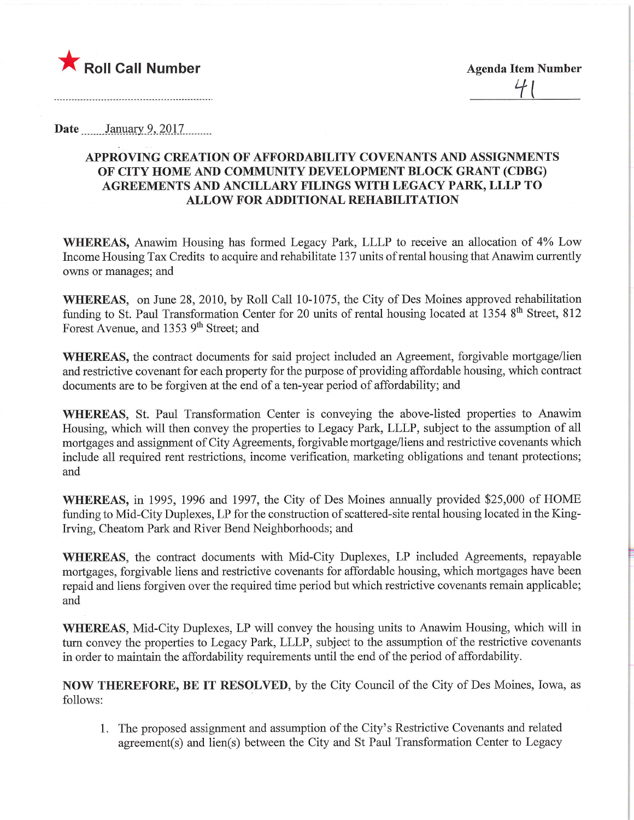

Date \_\_\_\_\_\_ January 9, 2017

## APPROVING CREATION OF AFFORDABILITY COVENANTS AND ASSIGNMENTS OF CITY HOME AND COMMUNITY DEVELOPMENT BLOCK GRANT (CDBG) AGREEMENTS AND ANCILLARY FILINGS WITH LEGACY PARK, LLLP TO ALLOW FOR ADDITIONAL REHABILITATION

WHEREAS, Anawim Housing has formed Legacy Park, LLLP to receive an allocation of 4% Low Income Housing Tax Credits to acquire and rehabilitate 137 units of rental housing that Anawim currently owns or manages; and

WHEREAS, on June 28, 2010, by Roll Call 10-1075, the City of Des Moines approved rehabilitation funding to St. Paul Transformation Center for 20 units of rental housing located at 1354 8<sup>th</sup> Street, 812 Forest Avenue, and 1353 9<sup>th</sup> Street; and

WHEREAS, the contract documents for said project included an Agreement, forgivable mortgage/lien and restrictive covenant for each property for the purpose of providing affordable housing, which contract documents are to be forgiven at the end of a ten-year period of affordability; and

WHEREAS, St. Paul Transformation Center is conveying the above-listed properties to Anawim Housing, which will then convey the properties to Legacy Park, LLLP, subject to the assumption of all mortgages and assignment of City Agreements, forgivable mortgage/liens and restrictive covenants which include all required rent restrictions, income verification, marketing obligations and tenant protections; and

WHEREAS, in 1995, 1996 and 1997, the City of Des Moines annually provided \$25,000 of HOME funding to Mid-City Duplexes, LP for the construction of scattered-site rental housing located in the King-Irving, Cheatom Park and River Bend Neighborhoods; and

WHEREAS, the contract documents with Mid-City Duplexes, LP included Agreements, repayable mortgages, forgivable liens and restrictive covenants for affordable housing, which mortgages have been repaid and liens forgiven over the required time period but which restrictive covenants remain applicable; and

WHEREAS, Mid-City Duplexes, LP will convey the housing units to Anawim Housing, which will in turn convey the properties to Legacy Park, LLLP, subject to the assumption of the restrictive covenants in order to maintain the affordability requirements until the end of the period of affordability.

NOW THEREFORE, BE IT RESOLVED, by the City Council of the City of Des Moines, Iowa, as follows:

1. The proposed assignment and assumption of the City's Restrictive Covenants and related agreement(s) and lien(s) between the City and St Paul Transformation Center to Legacy